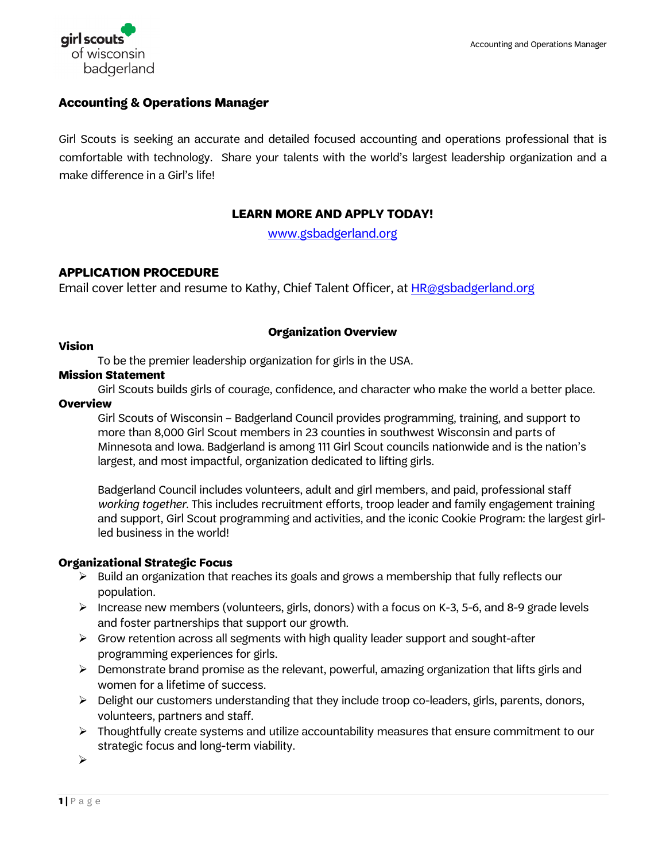

# **Accounting & Operations Manager**

Girl Scouts is seeking an accurate and detailed focused accounting and operations professional that is comfortable with technology. Share your talents with the world's largest leadership organization and a make difference in a Girl's life!

# **LEARN MORE AND APPLY TODAY!**

[www.gsbadgerland.org](http://www.gsbadgerland.org/)

# **APPLICATION PROCEDURE**

Email cover letter and resume to Kathy, Chief Talent Officer, at [HR@gsbadgerland.org](mailto:HR@gsbadgerland.org)

# **Organization Overview**

#### **Vision**

To be the premier leadership organization for girls in the USA.

# **Mission Statement**

Girl Scouts builds girls of courage, confidence, and character who make the world a better place.

#### **Overview**

Girl Scouts of Wisconsin – Badgerland Council provides programming, training, and support to more than 8,000 Girl Scout members in 23 counties in southwest Wisconsin and parts of Minnesota and Iowa. Badgerland is among 111 Girl Scout councils nationwide and is the nation's largest, and most impactful, organization dedicated to lifting girls.

Badgerland Council includes volunteers, adult and girl members, and paid, professional staff *working together*. This includes recruitment efforts, troop leader and family engagement training and support, Girl Scout programming and activities, and the iconic Cookie Program: the largest girlled business in the world!

# **Organizational Strategic Focus**

- $\triangleright$  Build an organization that reaches its goals and grows a membership that fully reflects our population.
- $\triangleright$  Increase new members (volunteers, girls, donors) with a focus on K-3, 5-6, and 8-9 grade levels and foster partnerships that support our growth.
- $\triangleright$  Grow retention across all segments with high quality leader support and sought-after programming experiences for girls.
- Demonstrate brand promise as the relevant, powerful, amazing organization that lifts girls and women for a lifetime of success.
- $\triangleright$  Delight our customers understanding that they include troop co-leaders, girls, parents, donors, volunteers, partners and staff.
- $\triangleright$  Thoughtfully create systems and utilize accountability measures that ensure commitment to our strategic focus and long-term viability.

 $\blacktriangleright$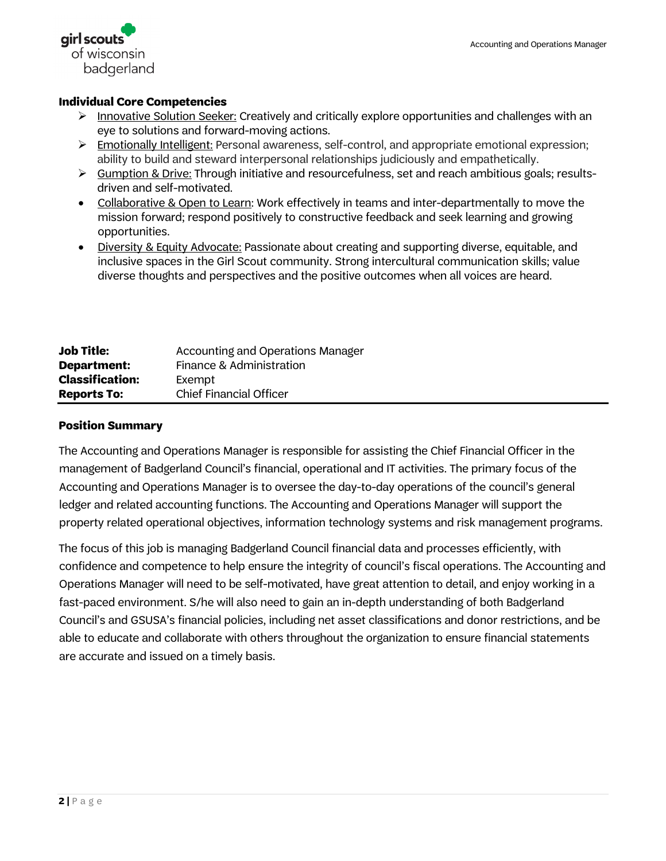

#### **Individual Core Competencies**

- $\triangleright$  Innovative Solution Seeker: Creatively and critically explore opportunities and challenges with an eye to solutions and forward-moving actions.
- Emotionally Intelligent: Personal awareness, self-control, and appropriate emotional expression; ability to build and steward interpersonal relationships judiciously and empathetically.
- $\triangleright$  Gumption & Drive: Through initiative and resourcefulness, set and reach ambitious goals; resultsdriven and self-motivated.
- Collaborative & Open to Learn: Work effectively in teams and inter-departmentally to move the mission forward; respond positively to constructive feedback and seek learning and growing opportunities.
- Diversity & Equity Advocate: Passionate about creating and supporting diverse, equitable, and inclusive spaces in the Girl Scout community. Strong intercultural communication skills; value diverse thoughts and perspectives and the positive outcomes when all voices are heard.

| <b>Job Title:</b>      | <b>Accounting and Operations Manager</b> |
|------------------------|------------------------------------------|
| <b>Department:</b>     | Finance & Administration                 |
| <b>Classification:</b> | Exempt                                   |
| <b>Reports To:</b>     | <b>Chief Financial Officer</b>           |

#### **Position Summary**

The Accounting and Operations Manager is responsible for assisting the Chief Financial Officer in the management of Badgerland Council's financial, operational and IT activities. The primary focus of the Accounting and Operations Manager is to oversee the day-to-day operations of the council's general ledger and related accounting functions. The Accounting and Operations Manager will support the property related operational objectives, information technology systems and risk management programs.

The focus of this job is managing Badgerland Council financial data and processes efficiently, with confidence and competence to help ensure the integrity of council's fiscal operations. The Accounting and Operations Manager will need to be self-motivated, have great attention to detail, and enjoy working in a fast-paced environment. S/he will also need to gain an in-depth understanding of both Badgerland Council's and GSUSA's financial policies, including net asset classifications and donor restrictions, and be able to educate and collaborate with others throughout the organization to ensure financial statements are accurate and issued on a timely basis.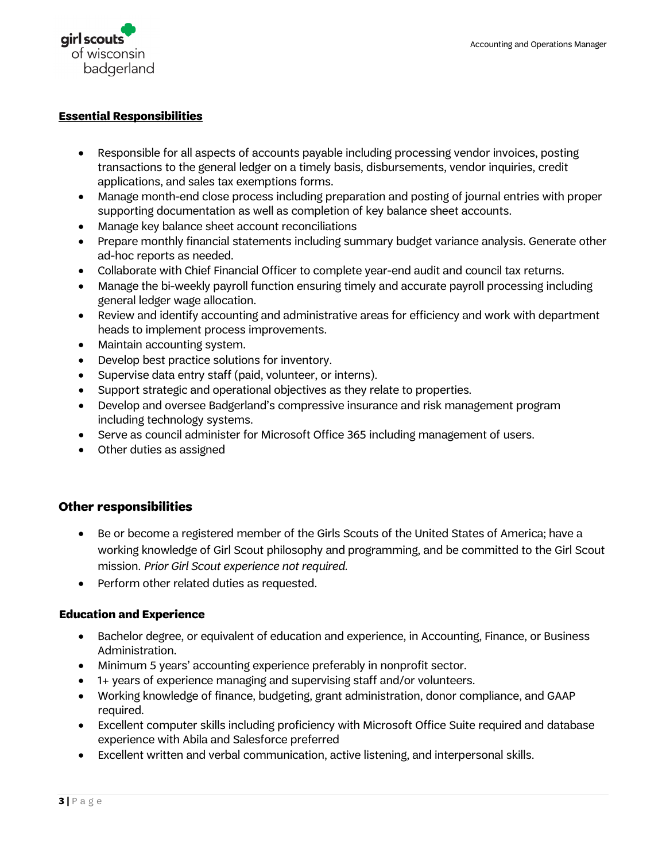

#### **Essential Responsibilities**

- Responsible for all aspects of accounts payable including processing vendor invoices, posting transactions to the general ledger on a timely basis, disbursements, vendor inquiries, credit applications, and sales tax exemptions forms.
- Manage month-end close process including preparation and posting of journal entries with proper supporting documentation as well as completion of key balance sheet accounts.
- Manage key balance sheet account reconciliations
- Prepare monthly financial statements including summary budget variance analysis. Generate other ad-hoc reports as needed.
- Collaborate with Chief Financial Officer to complete year-end audit and council tax returns.
- Manage the bi-weekly payroll function ensuring timely and accurate payroll processing including general ledger wage allocation.
- Review and identify accounting and administrative areas for efficiency and work with department heads to implement process improvements.
- Maintain accounting system.
- Develop best practice solutions for inventory.
- Supervise data entry staff (paid, volunteer, or interns).
- Support strategic and operational objectives as they relate to properties.
- Develop and oversee Badgerland's compressive insurance and risk management program including technology systems.
- Serve as council administer for Microsoft Office 365 including management of users.
- Other duties as assigned

# **Other responsibilities**

- Be or become a registered member of the Girls Scouts of the United States of America; have a working knowledge of Girl Scout philosophy and programming, and be committed to the Girl Scout mission. *Prior Girl Scout experience not required.*
- Perform other related duties as requested.

#### **Education and Experience**

- Bachelor degree, or equivalent of education and experience, in Accounting, Finance, or Business Administration.
- Minimum 5 years' accounting experience preferably in nonprofit sector.
- 1+ years of experience managing and supervising staff and/or volunteers.
- Working knowledge of finance, budgeting, grant administration, donor compliance, and GAAP required.
- Excellent computer skills including proficiency with Microsoft Office Suite required and database experience with Abila and Salesforce preferred
- Excellent written and verbal communication, active listening, and interpersonal skills.